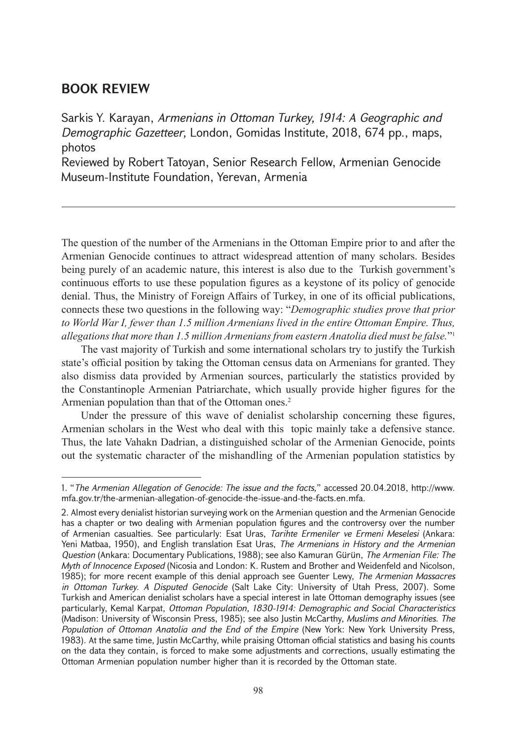## **BOOK REVIEW**

Sarkis Y. Karayan, *Armenians in Ottoman Turkey, 1914: A Geographic and Demographic Gazetteer,* London, Gomidas Institute, 2018, 674 pp., maps, photos Reviewed by Robert Tatoyan, Senior Research Fellow, Armenian Genocide

Museum-Institute Foundation, Yerevan, Armenia

The question of the number of the Armenians in the Ottoman Empire prior to and after the Armenian Genocide continues to attract widespread attention of many scholars. Besides being purely of an academic nature, this interest is also due to the Turkish government's continuous efforts to use these population figures as a keystone of its policy of genocide denial. Thus, the Ministry of Foreign Affairs of Turkey, in one of its official publications, connects these two questions in the following way: "*Demographic studies prove that prior to World War I, fewer than 1.5 million Armenians lived in the entire Ottoman Empire. Thus, allegations that more than 1.5 million Armenians from eastern Anatolia died must be false.*"1

The vast majority of Turkish and some international scholars try to justify the Turkish state's official position by taking the Ottoman census data on Armenians for granted. They also dismiss data provided by Armenian sources, particularly the statistics provided by the Constantinople Armenian Patriarchate, which usually provide higher figures for the Armenian population than that of the Ottoman ones.<sup>2</sup>

Under the pressure of this wave of denialist scholarship concerning these figures, Armenian scholars in the West who deal with this topic mainly take a defensive stance. Thus, the late Vahakn Dadrian, a distinguished scholar of the Armenian Genocide, points out the systematic character of the mishandling of the Armenian population statistics by

<sup>1. &</sup>quot;*The Armenian Allegation of Genocide: The issue and the facts,*" accessed 20.04.2018, [http://www.](http://www.mfa.gov.tr/the-armenian-allegation-of-genocide-the-issue-and-the-facts.en.mfa) [mfa.gov.tr/the-armenian-allegation-of-genocide-the-issue-and-the-facts.en.mfa](http://www.mfa.gov.tr/the-armenian-allegation-of-genocide-the-issue-and-the-facts.en.mfa).

<sup>2.</sup> Almost every denialist historian surveying work on the Armenian question and the Armenian Genocide has a chapter or two dealing with Armenian population figures and the controversy over the number of Armenian casualties. See particularly: Esat Uras, *Tarihte Ermeniler ve Ermeni Meselesi* (Ankara: Yeni Matbaa, 1950), and English translation Esat Uras, *The Armenians in History and the Armenian Question* (Ankara: Documentary Publications, 1988); see also Kamuran Gürün, *The Armenian File: The Myth of Innocence Exposed* (Nicosia and London: K. Rustem and Brother and Weidenfeld and Nicolson, 1985); for more recent example of this denial approach see Guenter Lewy, *The Armenian Massacres in Ottoman Turkey. A Disputed Genocide* (Salt Lake City: University of Utah Press, 2007). Some Turkish and American denialist scholars have a special interest in late Ottoman demography issues (see particularly, Kemal Karpat, *Ottoman Population, 1830-1914: Demographic and Social Characteristics* (Madison: University of Wisconsin Press, 1985); see also Justin McCarthy, *Muslims and Minorities. The Population of Ottoman Anatolia and the End of the Empire* (New York: New York University Press, 1983). At the same time, Justin McCarthy, while praising Ottoman official statistics and basing his counts on the data they contain, is forced to make some adjustments and corrections, usually estimating the Ottoman Armenian population number higher than it is recorded by the Ottoman state.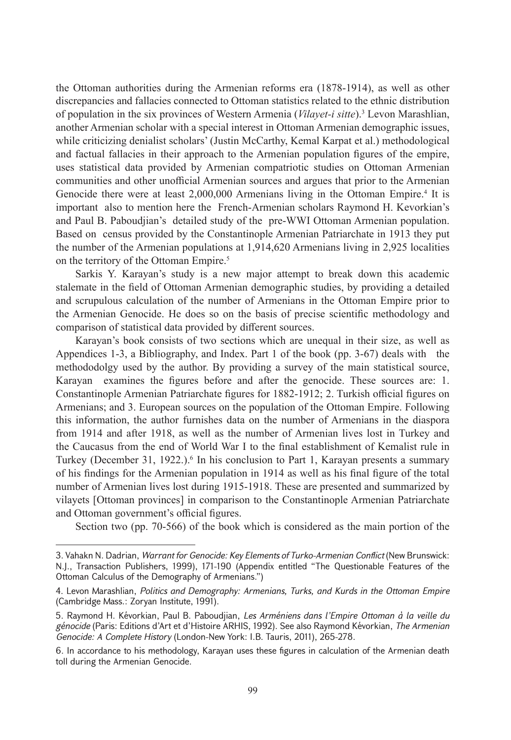the Ottoman authorities during the Armenian reforms era (1878-1914), as well as other discrepancies and fallacies connected to Ottoman statistics related to the ethnic distribution of population in the six provinces of Western Armenia (*Vilayet-i sitte*).<sup>3</sup> Levon Marashlian, another Armenian scholar with a special interest in Ottoman Armenian demographic issues, while criticizing denialist scholars' (Justin McCarthy, Kemal Karpat et al.) methodological and factual fallacies in their approach to the Armenian population figures of the empire, uses statistical data provided by Armenian compatriotic studies on Ottoman Armenian communities and other unofficial Armenian sources and argues that prior to the Armenian Genocide there were at least 2,000,000 Armenians living in the Ottoman Empire.<sup>4</sup> It is important also to mention here the French-Armenian scholars Raymond H. Kevorkian's and Paul B. Paboudjian's detailed study of the pre-WWI Ottoman Armenian population. Based on census provided by the Constantinople Armenian Patriarchate in 1913 they put the number of the Armenian populations at 1,914,620 Armenians living in 2,925 localities on the territory of the Ottoman Empire.<sup>5</sup>

Sarkis Y. Karayan's study is a new major attempt to break down this academic stalemate in the field of Ottoman Armenian demographic studies, by providing a detailed and scrupulous calculation of the number of Armenians in the Ottoman Empire prior to the Armenian Genocide. He does so on the basis of precise scientific methodology and comparison of statistical data provided by different sources.

Karayan's book consists of two sections which are unequal in their size, as well as Appendices 1-3, a Bibliography, and Index. Part 1 of the book (pp. 3-67) deals with the methododolgy used by the author. By providing a survey of the main statistical source, Karayan examines the figures before and after the genocide. These sources are: 1. Constantinople Armenian Patriarchate figures for 1882-1912; 2. Turkish official figures on Armenians; and 3. European sources on the population of the Ottoman Empire. Following this information, the author furnishes data on the number of Armenians in the diaspora from 1914 and after 1918, as well as the number of Armenian lives lost in Turkey and the Caucasus from the end of World War I to the final establishment of Kemalist rule in Turkey (December 31, 1922.).<sup>6</sup> In his conclusion to Part 1, Karayan presents a summary of his findings for the Armenian population in 1914 as well as his final figure of the total number of Armenian lives lost during 1915-1918. These are presented and summarized by vilayets [Ottoman provinces] in comparison to the Constantinople Armenian Patriarchate and Ottoman government's official figures.

Section two (pp. 70-566) of the book which is considered as the main portion of the

<sup>3.</sup> Vahakn N. Dadrian, *Warrant for Genocide: Key Elements of Turko-Armenian Conflict* (New Brunswick: N.J., Transaction Publishers, 1999), 171-190 (Appendix entitled "The Questionable Features of the Ottoman Calculus of the Demography of Armenians.")

<sup>4.</sup> Levon Marashlian, *Politics and Demography: Armenians, Turks, and Kurds in the Ottoman Empire* (Cambridge Mass.: Zoryan Institute, 1991).

<sup>5.</sup> Raymond H. Kévorkian, Paul B. Paboudjian, *Les Arméniens dans l'Empire Ottoman à la veille du génocide* (Paris: Editions d'Art et d'Histoire ARHIS, 1992). See also Raymond Kévorkian, *The Armenian Genocide: A Complete History* (London-New York: I.B. Tauris, 2011), 265-278.

<sup>6.</sup> In accordance to his methodology, Karayan uses these figures in calculation of the Armenian death toll during the Armenian Genocide.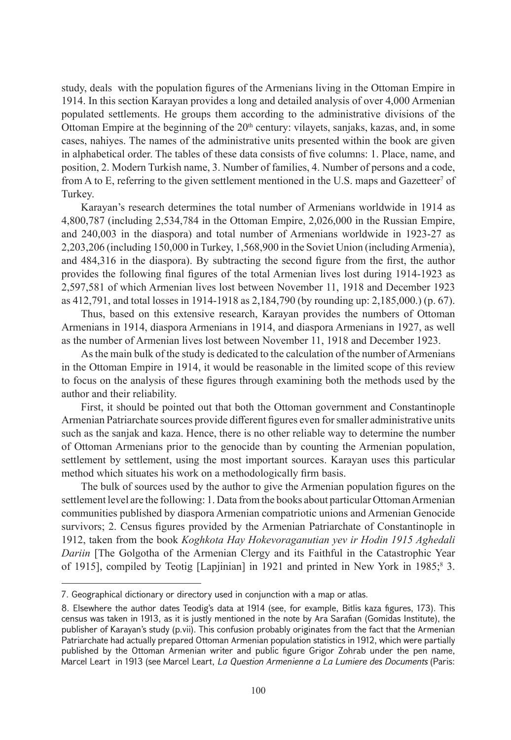study, deals with the population figures of the Armenians living in the Ottoman Empire in 1914. In this section Karayan provides a long and detailed analysis of over 4,000 Armenian populated settlements. He groups them according to the administrative divisions of the Ottoman Empire at the beginning of the 20<sup>th</sup> century: vilayets, sanjaks, kazas, and, in some cases, nahiyes. The names of the administrative units presented within the book are given in alphabetical order. The tables of these data consists of five columns: 1. Place, name, and position, 2. Modern Turkish name, 3. Number of families, 4. Number of persons and a code, from A to E, referring to the given settlement mentioned in the U.S. maps and Gazetteer<sup>7</sup> of Turkey.

Karayan's research determines the total number of Armenians worldwide in 1914 as 4,800,787 (including 2,534,784 in the Ottoman Empire, 2,026,000 in the Russian Empire, and 240,003 in the diaspora) and total number of Armenians worldwide in 1923-27 as 2,203,206 (including 150,000 in Turkey, 1,568,900 in the Soviet Union (including Armenia), and 484,316 in the diaspora). By subtracting the second figure from the first, the author provides the following final figures of the total Armenian lives lost during 1914-1923 as 2,597,581 of which Armenian lives lost between November 11, 1918 and December 1923 as 412,791, and total losses in 1914-1918 as 2,184,790 (by rounding up: 2,185,000.) (p. 67).

Thus, based on this extensive research, Karayan provides the numbers of Ottoman Armenians in 1914, diaspora Armenians in 1914, and diaspora Armenians in 1927, as well as the number of Armenian lives lost between November 11, 1918 and December 1923.

As the main bulk of the study is dedicated to the calculation of the number of Armenians in the Ottoman Empire in 1914, it would be reasonable in the limited scope of this review to focus on the analysis of these figures through examining both the methods used by the author and their reliability.

First, it should be pointed out that both the Ottoman government and Constantinople Armenian Patriarchate sources provide different figures even for smaller administrative units such as the sanjak and kaza. Hence, there is no other reliable way to determine the number of Ottoman Armenians prior to the genocide than by counting the Armenian population, settlement by settlement, using the most important sources. Karayan uses this particular method which situates his work on a methodologically firm basis.

The bulk of sources used by the author to give the Armenian population figures on the settlement level are the following: 1. Data from the books about particular Ottoman Armenian communities published by diaspora Armenian compatriotic unions and Armenian Genocide survivors; 2. Census figures provided by the Armenian Patriarchate of Constantinople in 1912, taken from the book *Koghkota Hay Hokevoraganutian yev ir Hodin 1915 Aghedali Dariin* [The Golgotha of the Armenian Clergy and its Faithful in the Catastrophic Year of 1915], compiled by Teotig [Lapjinian] in 1921 and printed in New York in 1985;<sup>8</sup> 3.

<sup>7.</sup> Geographical dictionary or directory used in conjunction with a map or atlas.

<sup>8.</sup> Elsewhere the author dates Teodig's data at 1914 (see, for example, Bitlis kaza figures, 173). This census was taken in 1913, as it is justly mentioned in the note by Ara Sarafian (Gomidas Institute), the publisher of Karayan's study (p.vii). This confusion probably originates from the fact that the Armenian Patriarchate had actually prepared Ottoman Armenian population statistics in 1912, which were partially published by the Ottoman Armenian writer and public figure Grigor Zohrab under the pen name, Marcel Leart in 1913 (see Marcel Leart, *La Question Armenienne a La Lumiere des Documents* (Paris: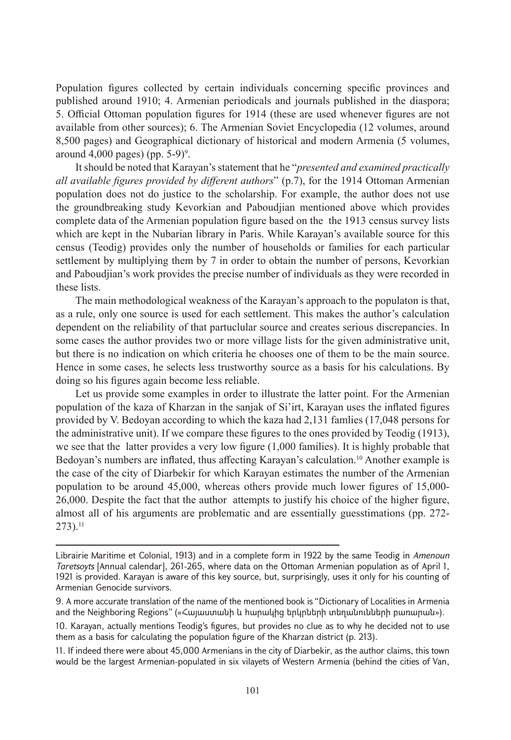Population figures collected by certain individuals concerning specific provinces and published around 1910; 4. Armenian periodicals and journals published in the diaspora; 5. Official Ottoman population figures for 1914 (these are used whenever figures are not available from other sources); 6. The Armenian Soviet Encyclopedia (12 volumes, around 8,500 pages) and Geographical dictionary of historical and modern Armenia (5 volumes, around  $4,000$  pages) (pp. 5-9)<sup>9</sup>.

It should be noted that Karayan's statement that he "*presented and examined practically all available figures provided by different authors*" (p.7), for the 1914 Ottoman Armenian population does not do justice to the scholarship. For example, the author does not use the groundbreaking study Kevorkian and Paboudjian mentioned above which provides complete data of the Armenian population figure based on the the 1913 census survey lists which are kept in the Nubarian library in Paris. While Karayan's available source for this census (Teodig) provides only the number of households or families for each particular settlement by multiplying them by 7 in order to obtain the number of persons, Kevorkian and Paboudjian's work provides the precise number of individuals as they were recorded in these lists.

The main methodological weakness of the Karayan's approach to the populaton is that, as a rule, only one source is used for each settlement. This makes the author's calculation dependent on the reliability of that partuclular source and creates serious discrepancies. In some cases the author provides two or more village lists for the given administrative unit, but there is no indication on which criteria he chooses one of them to be the main source. Hence in some cases, he selects less trustworthy source as a basis for his calculations. By doing so his figures again become less reliable.

Let us provide some examples in order to illustrate the latter point. For the Armenian population of the kaza of Kharzan in the sanjak of Si'irt, Karayan uses the inflated figures provided by V. Bedoyan according to which the kaza had 2,131 famlies (17,048 persons for the administrative unit). If we compare these figures to the ones provided by Teodig (1913), we see that the latter provides a very low figure (1,000 families). It is highly probable that Bedoyan's numbers are inflated, thus affecting Karayan's calculation.10 Another example is the case of the city of Diarbekir for which Karayan estimates the number of the Armenian population to be around 45,000, whereas others provide much lower figures of 15,000- 26,000. Despite the fact that the author attempts to justify his choice of the higher figure, almost all of his arguments are problematic and are essentially guesstimations (pp. 272-  $273$ ).<sup>11</sup>

Librairie Maritime et Colonial, 1913) and in a complete form in 1922 by the same Teodig in *Amenoun Taretsoyts* [Annual calendar], 261-265, where data on the Ottoman Armenian population as of April 1, 1921 is provided. Karayan is aware of this key source, but, surprisingly, uses it only for his counting of Armenian Genocide survivors.

<sup>9.</sup> A more accurate translation of the name of the mentioned book is "Dictionary of Localities in Armenia and the Neighboring Regions" («Հայաստանի և հարակից երկրների տեղանունների բառարան»).

<sup>10.</sup> Karayan, actually mentions Teodig's figures, but provides no clue as to why he decided not to use them as a basis for calculating the population figure of the Kharzan district (p. 213).

<sup>11.</sup> If indeed there were about 45,000 Armenians in the city of Diarbekir, as the author claims, this town would be the largest Armenian-populated in six vilayets of Western Armenia (behind the cities of Van,